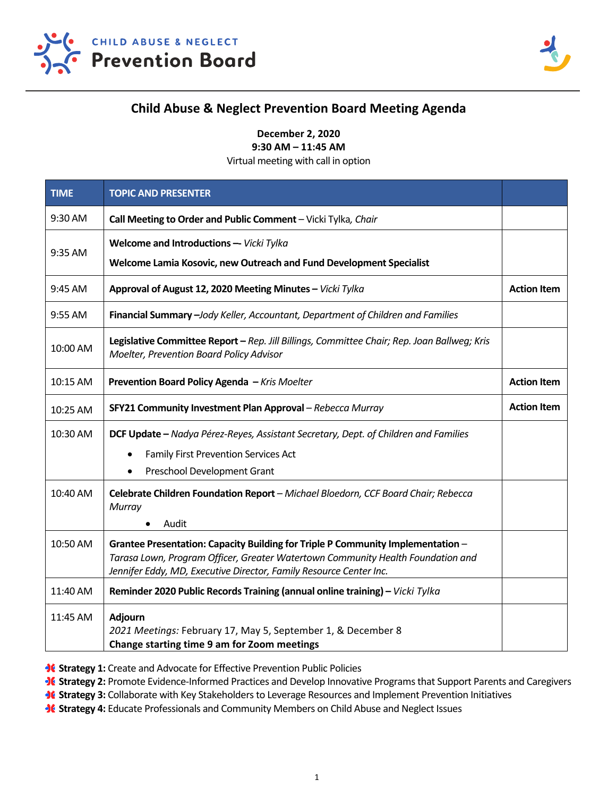



## **Child Abuse & Neglect Prevention Board Meeting Agenda**

**December 2, 2020** 

**9:30 AM – 11:45 AM** 

Virtual meeting with call in option

| <b>TIME</b> | <b>TOPIC AND PRESENTER</b>                                                                                                                                                                                                               |                    |
|-------------|------------------------------------------------------------------------------------------------------------------------------------------------------------------------------------------------------------------------------------------|--------------------|
| 9:30 AM     | Call Meeting to Order and Public Comment - Vicki Tylka, Chair                                                                                                                                                                            |                    |
| 9:35 AM     | Welcome and Introductions -- Vicki Tylka                                                                                                                                                                                                 |                    |
|             | Welcome Lamia Kosovic, new Outreach and Fund Development Specialist                                                                                                                                                                      |                    |
| 9:45 AM     | Approval of August 12, 2020 Meeting Minutes - Vicki Tylka                                                                                                                                                                                | <b>Action Item</b> |
| 9:55 AM     | Financial Summary - Jody Keller, Accountant, Department of Children and Families                                                                                                                                                         |                    |
| 10:00 AM    | Legislative Committee Report - Rep. Jill Billings, Committee Chair; Rep. Joan Ballweg; Kris<br>Moelter, Prevention Board Policy Advisor                                                                                                  |                    |
| 10:15 AM    | Prevention Board Policy Agenda - Kris Moelter                                                                                                                                                                                            | <b>Action Item</b> |
| 10:25 AM    | SFY21 Community Investment Plan Approval - Rebecca Murray                                                                                                                                                                                | <b>Action Item</b> |
| 10:30 AM    | DCF Update - Nadya Pérez-Reyes, Assistant Secretary, Dept. of Children and Families                                                                                                                                                      |                    |
|             | <b>Family First Prevention Services Act</b>                                                                                                                                                                                              |                    |
|             | Preschool Development Grant                                                                                                                                                                                                              |                    |
| 10:40 AM    | Celebrate Children Foundation Report - Michael Bloedorn, CCF Board Chair; Rebecca<br>Murray                                                                                                                                              |                    |
|             | Audit<br>٠                                                                                                                                                                                                                               |                    |
| 10:50 AM    | Grantee Presentation: Capacity Building for Triple P Community Implementation -<br>Tarasa Lown, Program Officer, Greater Watertown Community Health Foundation and<br>Jennifer Eddy, MD, Executive Director, Family Resource Center Inc. |                    |
| 11:40 AM    | Reminder 2020 Public Records Training (annual online training) - Vicki Tylka                                                                                                                                                             |                    |
| 11:45 AM    | <b>Adjourn</b>                                                                                                                                                                                                                           |                    |
|             | 2021 Meetings: February 17, May 5, September 1, & December 8                                                                                                                                                                             |                    |
|             | Change starting time 9 am for Zoom meetings                                                                                                                                                                                              |                    |

**36 Strategy 1:** Create and Advocate for Effective Prevention Public Policies

**36 Strategy 2:** Promote Evidence-Informed Practices and Develop Innovative Programs that Support Parents and Caregivers

**If Strategy 3:** Collaborate with Key Stakeholders to Leverage Resources and Implement Prevention Initiatives

**36 Strategy 4:** Educate Professionals and Community Members on Child Abuse and Neglect Issues